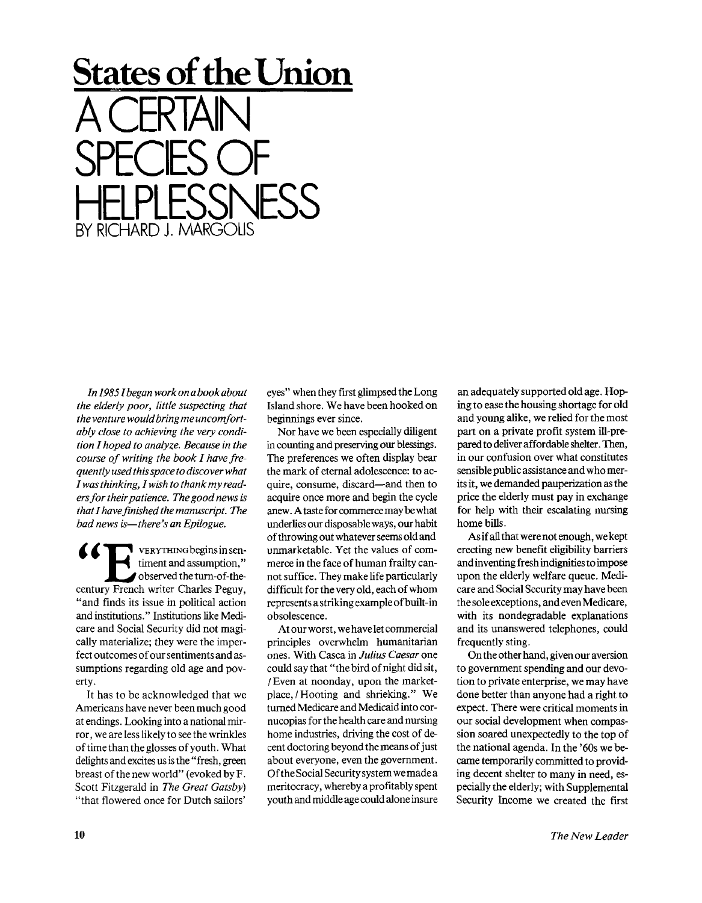## **States of the Union**  A CERTAIN SPECIES OF HELPLESSNESS RICHARD I. MARG

*In I985Ibegan work on a book about the elderly poor, little suspecting that the venture would bring me uncomfortably close to achieving the very condition I hoped to analyze. Because in the course of writing the book I have frequently used this space to discover what I was thinking, I wish to thank my readers for their patience. The good news is that I have finished the manuscript. The bad news is—there's an Epilogue.* 

 $\blacksquare$  vERYTHING begins in sentiment and assumption," 1 observed the turn-of-thecentury French writer Charles Peguy, "and finds its issue in political action and institutions." Institutions like Medicare and Social Security did not magically materialize; they were the imperfect outcomes of our sentiments and assumptions regarding old age and poverty.

It has to be acknowledged that we Americans have never been much good at endings. Looking into a national mirror, we are less likely to see the wrinkles of time than the glosses of youth. What delights and excites us is the "fresh, green breast of the new world" (evoked by F. Scott Fitzgerald in *The Great Gatsby)*  "that flowered once for Dutch sailors'

eyes" when they first glimpsed the Long Island shore. We have been hooked on beginnings ever since.

Nor have we been especially diligent in counting and preserving our blessings. The preferences we often display bear the mark of eternal adolescence: to acquire, consume, discard—and then to acquire once more and begin the cycle anew. A taste for commerce may be what underlies our disposable ways, our habit of throwing out whatever seems old and unmarketable. Yet the values of commerce in the face of human frailty cannot suffice. They make life particularly difficult for the very old, each of whom represents a striking example of built-in obsolescence.

At our worst, we have let commercial principles overwhelm humanitarian ones. With Casca in *Julius Caesar* one could say that "the bird of night did sit, / Even at noonday, upon the marketplace, / Hooting and shrieking." We turned Medicare and Medicaid into cornucopias for the health care and nursing home industries, driving the cost of decent doctoring beyond the means of just about everyone, even the government. Of the Social Security system we made a meritocracy, whereby a profitably spent youth and middle age could alone insure an adequately supported old age. Hoping to ease the housing shortage for old and young alike, we relied for the most part on a private profit system ill-prepared to deliver affordable shelter. Then, in our confusion over what constitutes sensible public assistance and who merits it, we demanded pauperization as the price the elderly must pay in exchange for help with their escalating nursing home bills.

As if all that were not enough, we kept erecting new benefit eligibility barriers and inventing fresh indignities to impose upon the elderly welfare queue. Medicare and Social Security may have been the sole exceptions, and even Medicare, with its nondegradable explanations and its unanswered telephones, could frequently sting.

On the other hand, given our aversion to government spending and our devotion to private enterprise, we may have done better than anyone had a right to expect. There were critical moments in our social development when compassion soared unexpectedly to the top of the national agenda. In the '60s we became temporarily committed to providing decent shelter to many in need, especially the elderly; with Supplemental Security Income we created the first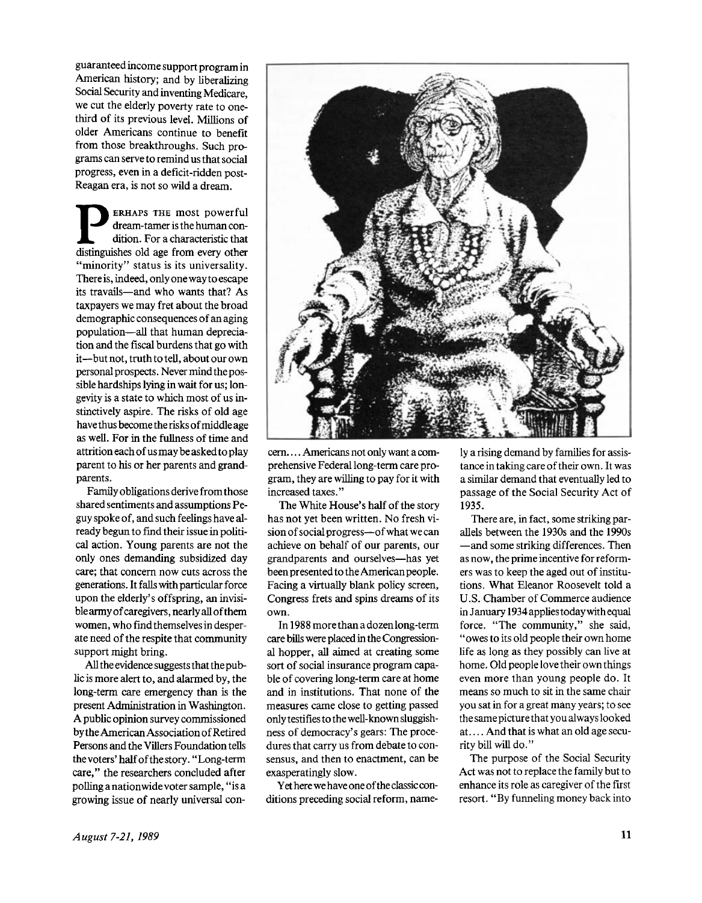guaranteed income support program in American history; and by liberalizing Social Security and inventing Medicare, we cut the elderly poverty rate to onethird of its previous level. Millions of older Americans continue to benefit from those breakthroughs. Such programs can serve to remind us that social progress, even in a deficit-ridden post-Reagan era, is not so wild a dream.

**P ERHAPS THE most powerful**dream-tamer is the human condition. For a characteristic that
distinguishes old age from every other ERHAPS THE most powerful dream-tamer is the human condition. For a characteristic that "minority" status is its universality. There is, indeed, only one wayto escape its travails—and who wants that? As taxpayers we may fret about the broad demographic consequences of an aging population—all that human depreciation and the fiscal burdens that go with it—but not, truth to tell, about our own personal prospects. Never mind the possible hardships lying in wait for us; longevity is a state to which most of us instinctively aspire. The risks of old age have thus become the risks of middle age as well. For in the fullness of time and attrition each of us may be asked to play parent to his or her parents and grandparents.

Family obligations derive from those shared sentiments and assumptions Peguy spoke of, and such feelings have already begun to find their issue in political action. Young parents are not the only ones demanding subsidized day care; that concern now cuts across the generations. It falls with particular force upon the elderly's offspring, an invisiblearmy of caregivers, nearly all of them women, who find themselves in desperate need of the respite that community support might bring.

All the evidence suggests that the public is more alert to, and alarmed by, the long-term care emergency than is the present Administration in Washington. A public opinion survey commissioned by the American Association of Retired Persons and the Villers Foundation tells thevoters'halfofthestory. "Long-term care," the researchers concluded after polling a nationwide voter sample," is a growing issue of nearly universal con-



cern. ... Americans not only want a comprehensive Federal long-term care program, they are willing to pay for it with increased taxes."

The White House's half of the story has not yet been written. No fresh vision of social progress—of what we can achieve on behalf of our parents, our grandparents and ourselves—has yet been presented to the American people. Facing a virtually blank policy screen, Congress frets and spins dreams of its own.

In 1988 more than a dozen long-term care bills were placed in the Congressional hopper, all aimed at creating some sort of social insurance program capable of covering long-term care at home and in institutions. That none of the measures came close to getting passed only testifies to the well-known sluggishness of democracy's gears: The procedures that carry us from debate to consensus, and then to enactment, can be exasperatingly slow.

Yet here we have one of the classic conditions preceding social reform, namely a rising demand by families for assistance in taking care of their own. It was a similar demand that eventually led to passage of the Social Security Act of 1935.

There are, in fact, some striking parallels between the 1930s and the 1990s —and some striking differences. Then as now, the prime incentive for reformers was to keep the aged out of institutions. What Eleanor Roosevelt told a U.S. Chamber of Commerce audience in January 1934 applies today with equal force. "The community," she said, "owes to its old people their own home life as long as they possibly can live at home. Old people love their own things even more than young people do. It means so much to sit in the same chair you sat in for a great many years; to see the same picture that you always looked at.... And that is what an old age security bill will do."

The purpose of the Social Security Act was not to replace the family but to enhance its role as caregiver of the first resort. "By funneling money back into